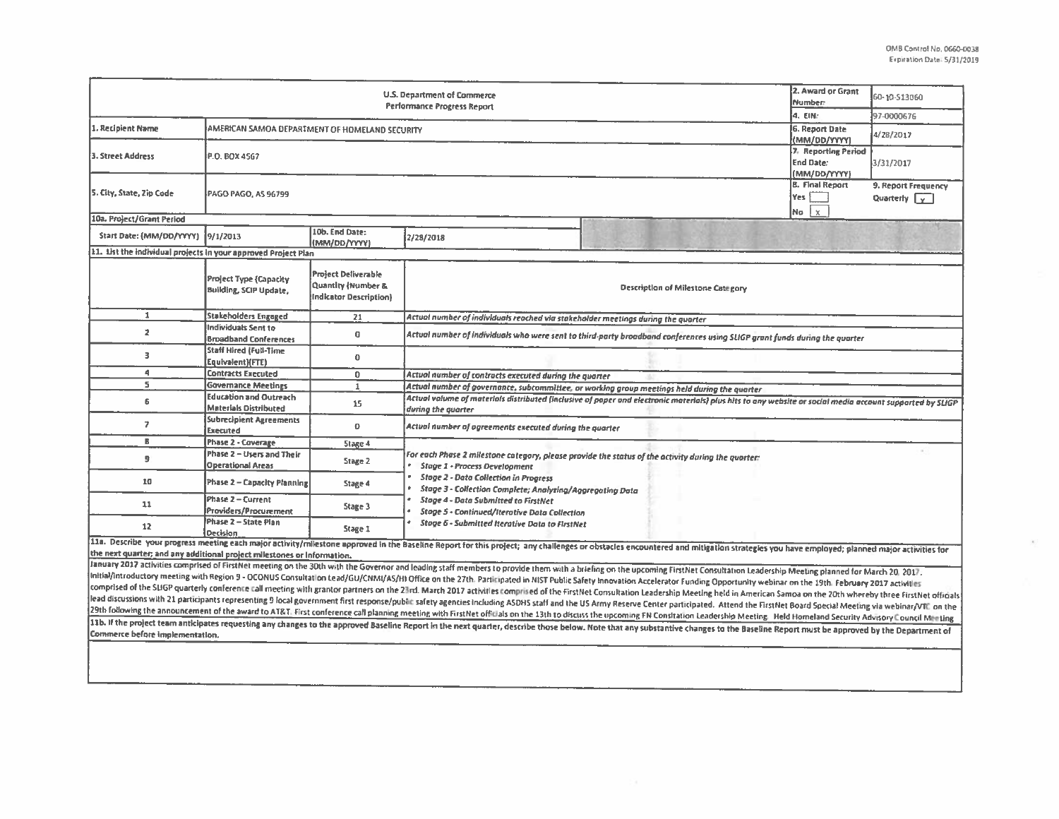$\langle 0 \rangle^{\pm}$ 

| U.S. Department of Commerce<br><b>Performance Progress Report</b>       |                                                                |                                                                                       |                                                                                                                                                                                                                                                                                                                                                         |                                                                                                                                                                                                                                | 2. Award or Grant<br>Number: | 60-10-S13060                                |  |  |  |
|-------------------------------------------------------------------------|----------------------------------------------------------------|---------------------------------------------------------------------------------------|---------------------------------------------------------------------------------------------------------------------------------------------------------------------------------------------------------------------------------------------------------------------------------------------------------------------------------------------------------|--------------------------------------------------------------------------------------------------------------------------------------------------------------------------------------------------------------------------------|------------------------------|---------------------------------------------|--|--|--|
|                                                                         |                                                                |                                                                                       |                                                                                                                                                                                                                                                                                                                                                         |                                                                                                                                                                                                                                |                              | 97-0000676                                  |  |  |  |
| 1. Recipient Name                                                       | AMERICAN SAMOA DEPARTMENT OF HOMELAND SECURITY                 |                                                                                       |                                                                                                                                                                                                                                                                                                                                                         |                                                                                                                                                                                                                                |                              | 4/28/2017                                   |  |  |  |
| 3. Street Address                                                       | P.O. BOX 4567                                                  |                                                                                       |                                                                                                                                                                                                                                                                                                                                                         |                                                                                                                                                                                                                                |                              | 3/31/2017                                   |  |  |  |
| 5. City, State, Zip Code                                                | <b>PAGO PAGO, AS 96799</b>                                     |                                                                                       |                                                                                                                                                                                                                                                                                                                                                         |                                                                                                                                                                                                                                |                              | 9. Report Frequency<br>Quarterly $\sqrt{v}$ |  |  |  |
| 10a. Project/Grant Period                                               |                                                                |                                                                                       |                                                                                                                                                                                                                                                                                                                                                         |                                                                                                                                                                                                                                | lχ.<br>No                    |                                             |  |  |  |
| Start Date: {MM/DD/YYYY}                                                | 9/1/2013                                                       | 10b. End Date:<br>(MM/DD/YYYY)                                                        | 2/28/2018                                                                                                                                                                                                                                                                                                                                               |                                                                                                                                                                                                                                |                              |                                             |  |  |  |
| 11. List the individual projects in your approved Project Plan          |                                                                |                                                                                       |                                                                                                                                                                                                                                                                                                                                                         |                                                                                                                                                                                                                                |                              |                                             |  |  |  |
|                                                                         | <b>Project Type (Capacity</b><br><b>Building, SCIP Update,</b> | <b>Project Deliverable</b><br><b>Quantity (Number &amp;</b><br>Indicator Description) | Description of Milestone Category                                                                                                                                                                                                                                                                                                                       |                                                                                                                                                                                                                                |                              |                                             |  |  |  |
| $\mathbf 1$                                                             | Stakeholders Engaged                                           | 21                                                                                    | Actual number of individuals reached via stakeholder meetings during the quarter                                                                                                                                                                                                                                                                        |                                                                                                                                                                                                                                |                              |                                             |  |  |  |
| $\overline{2}$                                                          | Individuals Sent to<br><b>Broadband Conferences</b>            | $\mathbf 0$                                                                           | Actual number of individuals who were sent to third-party broadband conferences using SLIGP grant funds during the quarter                                                                                                                                                                                                                              |                                                                                                                                                                                                                                |                              |                                             |  |  |  |
| з                                                                       | Staff Hired (Full-Time<br>Equivalent)(FTE)                     | 0                                                                                     |                                                                                                                                                                                                                                                                                                                                                         |                                                                                                                                                                                                                                |                              |                                             |  |  |  |
| $\blacktriangleleft$                                                    | <b>Contracts Executed</b>                                      | 0                                                                                     | Actual number of contracts executed during the quarter                                                                                                                                                                                                                                                                                                  |                                                                                                                                                                                                                                |                              |                                             |  |  |  |
| s.                                                                      | <b>Governance Meetings</b>                                     | $\mathbf{1}$                                                                          | Actual number of governance, subcommittee, or working group meetings held during the quarter                                                                                                                                                                                                                                                            |                                                                                                                                                                                                                                |                              |                                             |  |  |  |
| 6                                                                       | <b>Education and Outreach</b><br><b>Materials Distributed</b>  | 15                                                                                    | Actual volume of materials distributed (inclusive of paper and electronic materials) plus hits to any website or social media account supported by SLIGP.<br>during the quarter                                                                                                                                                                         |                                                                                                                                                                                                                                |                              |                                             |  |  |  |
| $\overline{ }$                                                          | <b>Subrecipient Agreements</b><br><b>Executed</b>              | 0                                                                                     | Actual number of agreements executed during the quarter                                                                                                                                                                                                                                                                                                 |                                                                                                                                                                                                                                |                              |                                             |  |  |  |
| в                                                                       | Phase 2 - Coverage                                             | Stage 4                                                                               |                                                                                                                                                                                                                                                                                                                                                         |                                                                                                                                                                                                                                |                              |                                             |  |  |  |
| 9                                                                       | Phase 2 - Users and Their<br><b>Operational Areas</b>          | Stage 2                                                                               | For each Phase 2 milestone category, please provide the status of the activity during the quarter:<br><b>Stage 1 - Process Development</b><br><b>Stage 2 - Data Collection in Progress</b><br>Stage 3 - Collection Complete; Analyzing/Aggregating Data<br>Stage 4 - Data Submitted to FirstNet<br><b>Stage 5 - Continued/Iterative Data Collection</b> |                                                                                                                                                                                                                                |                              |                                             |  |  |  |
| 10                                                                      | Phase 2 - Capacity Planning                                    | Stage 4                                                                               |                                                                                                                                                                                                                                                                                                                                                         |                                                                                                                                                                                                                                |                              |                                             |  |  |  |
| 11                                                                      | Phase 2 - Current<br>Providers/Procurement                     | Stage 3                                                                               |                                                                                                                                                                                                                                                                                                                                                         |                                                                                                                                                                                                                                |                              |                                             |  |  |  |
| 12                                                                      | Phase 2 - State Plan<br>Decision                               | Stage 1                                                                               | Stage 6 - Submitted Iterative Data to FirstNet                                                                                                                                                                                                                                                                                                          |                                                                                                                                                                                                                                |                              |                                             |  |  |  |
|                                                                         |                                                                |                                                                                       |                                                                                                                                                                                                                                                                                                                                                         | 11a. Describe your progress meeting each major activity/milestone approved in the Baseline Report for this project; any challenges or obstacles encountered and mitigation strategies you have employed; planned major activit |                              |                                             |  |  |  |
| the next quarter; and any additional project milestones or information. |                                                                |                                                                                       |                                                                                                                                                                                                                                                                                                                                                         |                                                                                                                                                                                                                                |                              |                                             |  |  |  |
|                                                                         |                                                                |                                                                                       |                                                                                                                                                                                                                                                                                                                                                         | January 2017 activities comprised of FirstNet meeting on the 30th with the Governor and leading staff members to provide them with a briefing on the upcoming FirstNet Consultation Leadership Meeting planned for March 20, 2 |                              |                                             |  |  |  |
|                                                                         |                                                                |                                                                                       |                                                                                                                                                                                                                                                                                                                                                         | Initial/introductory meeting with Region 9 - OCONUS Consultation Lead/GU/CNMI/AS/HI Office on the 27th. Participated in NIST Public Safety Innovation Accelerator Funding Opportunity webinar on the 19th. February 2017 activ |                              |                                             |  |  |  |
|                                                                         |                                                                |                                                                                       |                                                                                                                                                                                                                                                                                                                                                         | comprised of the SLIGP quarterly conference call meeting with grantor partners on the 23rd. March 2017 activities comprised of the FirstNet Consultation Leadership Meeting held in American Samoa on the 20th whereby three F |                              |                                             |  |  |  |
|                                                                         |                                                                |                                                                                       |                                                                                                                                                                                                                                                                                                                                                         | lead discussions with 21 participants representing 9 local government first response/public safety agencies including ASDHS staff and the US Army Reserve Center participated. Attend the FirstNet Board Special Meeting via w |                              |                                             |  |  |  |
|                                                                         |                                                                |                                                                                       |                                                                                                                                                                                                                                                                                                                                                         | 29th following the announcement of the award to AT&T. First conference call planning meeting with FirstNet officials on the 13th to discuss the upcoming FN Constation Leadership Meeting. Held Homeland Security Advisory Cou |                              |                                             |  |  |  |
| Commerce before implementation.                                         |                                                                |                                                                                       |                                                                                                                                                                                                                                                                                                                                                         | 11b. If the project team anticipates requesting any changes to the approved Baseline Report in the next quarter, describe those below. Note that any substantive changes to the Baseline Report must be approved by the Depart |                              |                                             |  |  |  |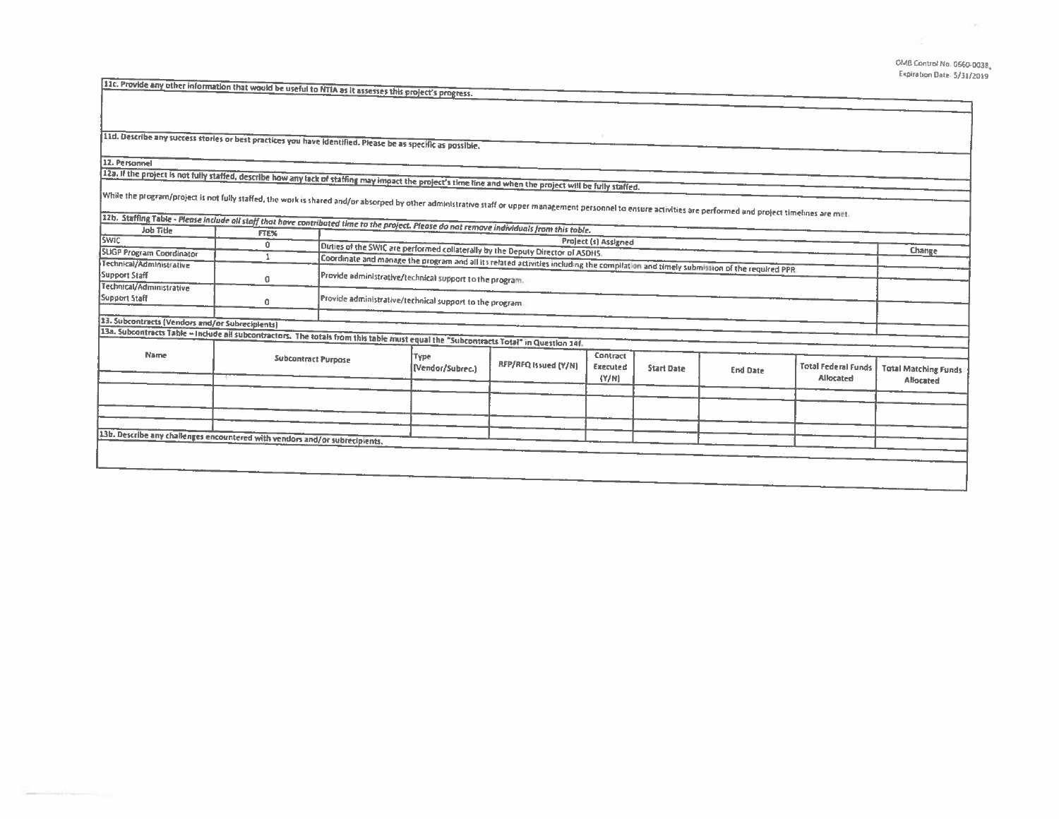## OMB Control No. 0660-0038, Expiration Date: 5/31/2019

11c. Provide any other information that would be useful to NTIA as It assesses this project's progress.

11d. Describe any success stories or best practices you have identified. Please be as specific as possible.

12. Personnel

123. If the project is not fully staffed, describe how any fack of staffing may impact the project's time line and when the project will be fully staffed.

while the program/project is not fully staffed, the work is shared and/or absorped by other administrative staff or upper management personnel to ensure activities are performed and project timelines are met.

|                                                                                                                                       | FTE%                | <i>Laker assuming Lawser rights in what the staff that nave contributed time to the project. Please do not remove individuals from this table.</i> |                                                                                                                                       |                      |                       |                   |                 |                                         |                             |  |
|---------------------------------------------------------------------------------------------------------------------------------------|---------------------|----------------------------------------------------------------------------------------------------------------------------------------------------|---------------------------------------------------------------------------------------------------------------------------------------|----------------------|-----------------------|-------------------|-----------------|-----------------------------------------|-----------------------------|--|
| <b>SWIC</b>                                                                                                                           | n                   |                                                                                                                                                    | Project (s) Assigned                                                                                                                  |                      |                       |                   |                 |                                         |                             |  |
| <b>SUGP Program Coordinator</b>                                                                                                       |                     |                                                                                                                                                    | Duties of the SWIC are performed collaterally by the Deputy Director of ASDHS.                                                        |                      |                       |                   |                 |                                         | Change                      |  |
| Technical/Administrative                                                                                                              |                     |                                                                                                                                                    | Coordinate and manage the program and all its related activities including the compilation and timely submission of the required PPR. |                      |                       |                   |                 |                                         |                             |  |
| Support Staff                                                                                                                         | 0                   |                                                                                                                                                    | Provide administrative/technical support to the program.                                                                              |                      |                       |                   |                 |                                         |                             |  |
| Technical/Administrative                                                                                                              |                     |                                                                                                                                                    |                                                                                                                                       |                      |                       |                   |                 |                                         |                             |  |
| Support Staff                                                                                                                         | a                   |                                                                                                                                                    | Provide administrative/technical support to the program.                                                                              |                      |                       |                   |                 |                                         |                             |  |
|                                                                                                                                       |                     |                                                                                                                                                    |                                                                                                                                       |                      |                       |                   |                 |                                         |                             |  |
| 13. Subcontracts (Vendors and/or Subrecipients)                                                                                       |                     |                                                                                                                                                    |                                                                                                                                       |                      |                       |                   |                 |                                         |                             |  |
| 13a. Subcontracts Table - Include all subcontractors. The totals from this table must equal the "Subcontracts Total" in Question 14f. |                     |                                                                                                                                                    |                                                                                                                                       |                      |                       |                   |                 |                                         |                             |  |
|                                                                                                                                       |                     |                                                                                                                                                    |                                                                                                                                       |                      |                       |                   |                 |                                         |                             |  |
| Name                                                                                                                                  |                     |                                                                                                                                                    | Type                                                                                                                                  | RFP/RFQ Issued (Y/N) | Contract              |                   |                 |                                         |                             |  |
|                                                                                                                                       | Subcontract Purpose |                                                                                                                                                    | (Vendor/Subrec.)                                                                                                                      |                      | Executed<br>$\{Y/N\}$ | <b>Start Date</b> | <b>End Date</b> | <b>Total Federal Funds</b><br>Allocated | <b>Total Matching Funds</b> |  |
|                                                                                                                                       |                     |                                                                                                                                                    |                                                                                                                                       |                      |                       |                   |                 |                                         | Allocated                   |  |
|                                                                                                                                       |                     |                                                                                                                                                    |                                                                                                                                       |                      |                       |                   |                 |                                         |                             |  |
|                                                                                                                                       |                     |                                                                                                                                                    |                                                                                                                                       |                      |                       |                   |                 |                                         |                             |  |
|                                                                                                                                       |                     |                                                                                                                                                    |                                                                                                                                       |                      |                       |                   |                 |                                         |                             |  |
| 13b. Describe any challenges encountered with vendors and/or subrecipients.                                                           |                     |                                                                                                                                                    |                                                                                                                                       |                      |                       |                   |                 |                                         |                             |  |
|                                                                                                                                       |                     |                                                                                                                                                    |                                                                                                                                       |                      |                       |                   |                 |                                         |                             |  |
|                                                                                                                                       |                     |                                                                                                                                                    |                                                                                                                                       |                      |                       |                   |                 |                                         |                             |  |
|                                                                                                                                       |                     |                                                                                                                                                    |                                                                                                                                       |                      |                       |                   |                 |                                         |                             |  |
|                                                                                                                                       |                     |                                                                                                                                                    |                                                                                                                                       |                      |                       |                   |                 |                                         |                             |  |